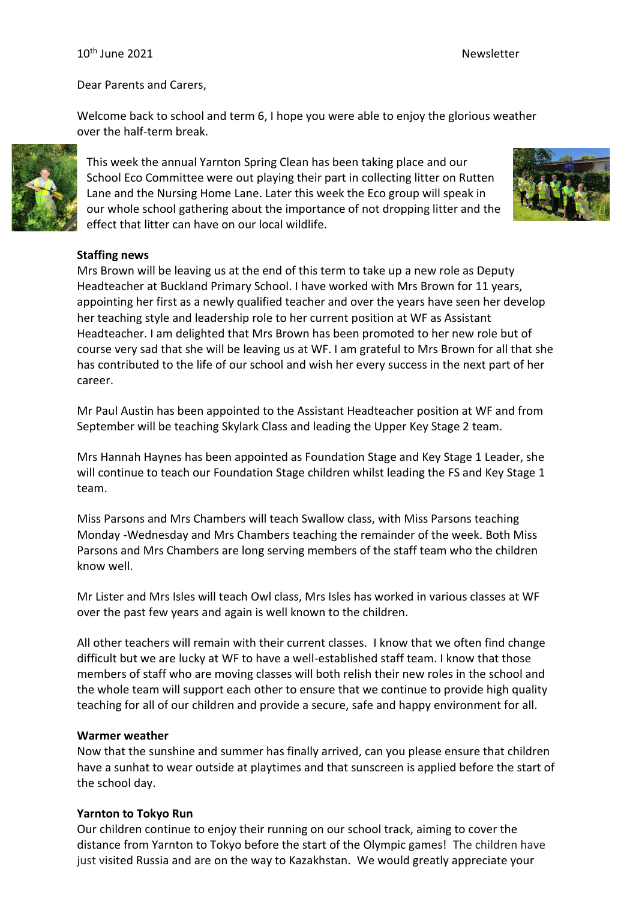#### 10<sup>th</sup> June 2021 **Newsletter** Newsletter

Dear Parents and Carers,

Welcome back to school and term 6, I hope you were able to enjoy the glorious weather over the half-term break.



This week the annual Yarnton Spring Clean has been taking place and our School Eco Committee were out playing their part in collecting litter on Rutten Lane and the Nursing Home Lane. Later this week the Eco group will speak in our whole school gathering about the importance of not dropping litter and the effect that litter can have on our local wildlife.



### **Staffing news**

Mrs Brown will be leaving us at the end of this term to take up a new role as Deputy Headteacher at Buckland Primary School. I have worked with Mrs Brown for 11 years, appointing her first as a newly qualified teacher and over the years have seen her develop her teaching style and leadership role to her current position at WF as Assistant Headteacher. I am delighted that Mrs Brown has been promoted to her new role but of course very sad that she will be leaving us at WF. I am grateful to Mrs Brown for all that she has contributed to the life of our school and wish her every success in the next part of her career.

Mr Paul Austin has been appointed to the Assistant Headteacher position at WF and from September will be teaching Skylark Class and leading the Upper Key Stage 2 team.

Mrs Hannah Haynes has been appointed as Foundation Stage and Key Stage 1 Leader, she will continue to teach our Foundation Stage children whilst leading the FS and Key Stage 1 team.

Miss Parsons and Mrs Chambers will teach Swallow class, with Miss Parsons teaching Monday -Wednesday and Mrs Chambers teaching the remainder of the week. Both Miss Parsons and Mrs Chambers are long serving members of the staff team who the children know well.

Mr Lister and Mrs Isles will teach Owl class, Mrs Isles has worked in various classes at WF over the past few years and again is well known to the children.

All other teachers will remain with their current classes. I know that we often find change difficult but we are lucky at WF to have a well-established staff team. I know that those members of staff who are moving classes will both relish their new roles in the school and the whole team will support each other to ensure that we continue to provide high quality teaching for all of our children and provide a secure, safe and happy environment for all.

#### **Warmer weather**

Now that the sunshine and summer has finally arrived, can you please ensure that children have a sunhat to wear outside at playtimes and that sunscreen is applied before the start of the school day.

#### **Yarnton to Tokyo Run**

Our children continue to enjoy their running on our school track, aiming to cover the distance from Yarnton to Tokyo before the start of the Olympic games! The children have just visited Russia and are on the way to Kazakhstan. We would greatly appreciate your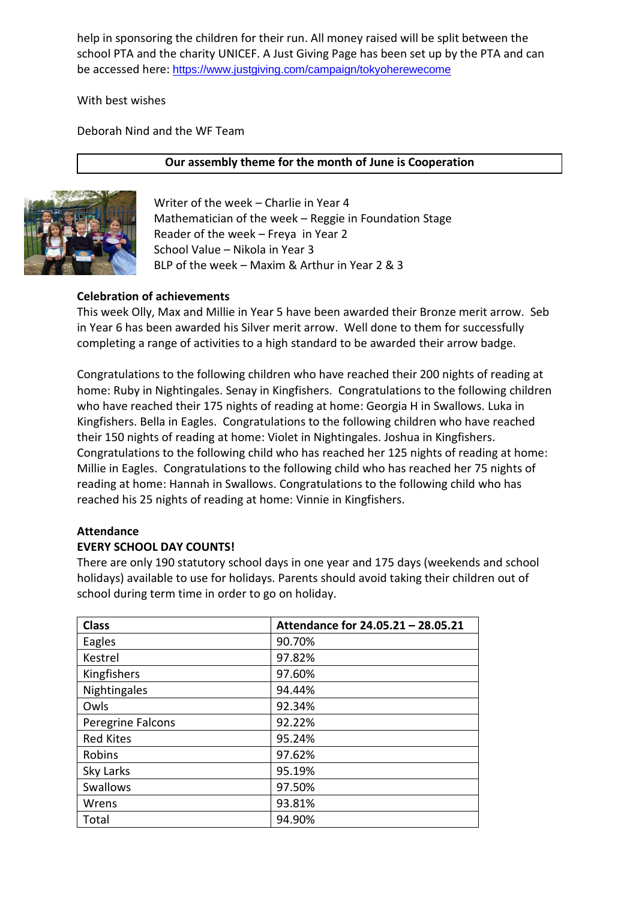help in sponsoring the children for their run. All money raised will be split between the school PTA and the charity UNICEF. A Just Giving Page has been set up by the PTA and can be accessed here: <https://www.justgiving.com/campaign/tokyoherewecome>

With best wishes

Deborah Nind and the WF Team

### **Our assembly theme for the month of June is Cooperation**



Writer of the week – Charlie in Year 4 Mathematician of the week – Reggie in Foundation Stage Reader of the week – Freya in Year 2 School Value – Nikola in Year 3 BLP of the week – Maxim & Arthur in Year 2 & 3

### **Celebration of achievements**

This week Olly, Max and Millie in Year 5 have been awarded their Bronze merit arrow. Seb in Year 6 has been awarded his Silver merit arrow. Well done to them for successfully completing a range of activities to a high standard to be awarded their arrow badge.

Congratulations to the following children who have reached their 200 nights of reading at home: Ruby in Nightingales. Senay in Kingfishers. Congratulations to the following children who have reached their 175 nights of reading at home: Georgia H in Swallows. Luka in Kingfishers. Bella in Eagles. Congratulations to the following children who have reached their 150 nights of reading at home: Violet in Nightingales. Joshua in Kingfishers. Congratulations to the following child who has reached her 125 nights of reading at home: Millie in Eagles. Congratulations to the following child who has reached her 75 nights of reading at home: Hannah in Swallows. Congratulations to the following child who has reached his 25 nights of reading at home: Vinnie in Kingfishers.

## **Attendance**

### **EVERY SCHOOL DAY COUNTS!**

There are only 190 statutory school days in one year and 175 days (weekends and school holidays) available to use for holidays. Parents should avoid taking their children out of school during term time in order to go on holiday.

| <b>Class</b>      | Attendance for 24.05.21 - 28.05.21 |
|-------------------|------------------------------------|
| Eagles            | 90.70%                             |
| Kestrel           | 97.82%                             |
| Kingfishers       | 97.60%                             |
| Nightingales      | 94.44%                             |
| Owls              | 92.34%                             |
| Peregrine Falcons | 92.22%                             |
| <b>Red Kites</b>  | 95.24%                             |
| Robins            | 97.62%                             |
| Sky Larks         | 95.19%                             |
| <b>Swallows</b>   | 97.50%                             |
| Wrens             | 93.81%                             |
| Total             | 94.90%                             |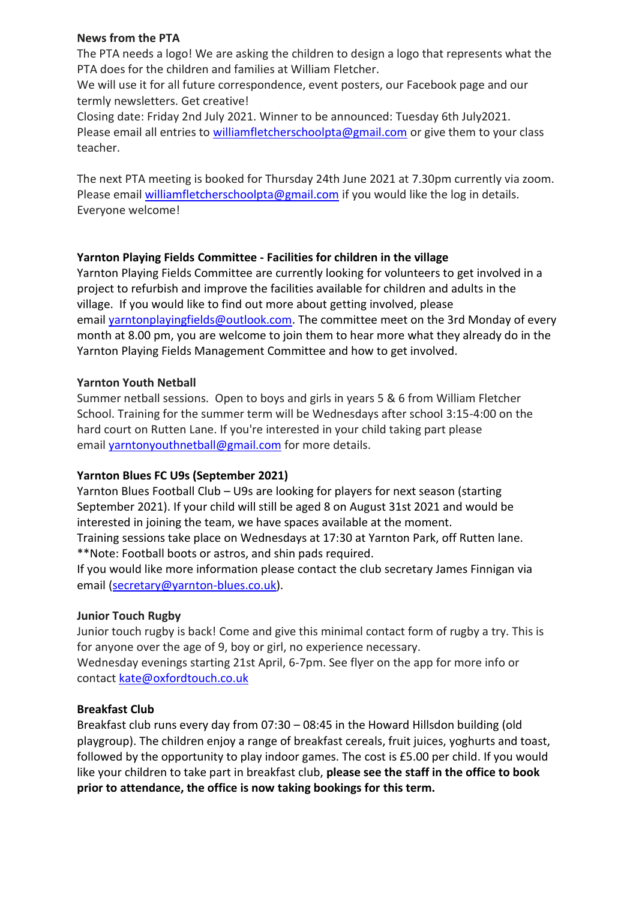### **News from the PTA**

The PTA needs a logo! We are asking the children to design a logo that represents what the PTA does for the children and families at William Fletcher.

We will use it for all future correspondence, event posters, our Facebook page and our termly newsletters. Get creative!

Closing date: Friday 2nd July 2021. Winner to be announced: Tuesday 6th July2021. Please email all entries to [williamfletcherschoolpta@gmail.com](mailto:williamfletcherschoolpta@gmail.com) or give them to your class teacher.

The next PTA meeting is booked for Thursday 24th June 2021 at 7.30pm currently via zoom. Please email [williamfletcherschoolpta@gmail.com](mailto:williamfletcherschoolpta@gmail.com) if you would like the log in details. Everyone welcome!

### **Yarnton Playing Fields Committee - Facilities for children in the village**

Yarnton Playing Fields Committee are currently looking for volunteers to get involved in a project to refurbish and improve the facilities available for children and adults in the village. If you would like to find out more about getting involved, please email [yarntonplayingfields@outlook.com.](mailto:yarntonplayingfields@outlook.com) The committee meet on the 3rd Monday of every month at 8.00 pm, you are welcome to join them to hear more what they already do in the Yarnton Playing Fields Management Committee and how to get involved.

### **Yarnton Youth Netball**

Summer netball sessions. Open to boys and girls in years 5 & 6 from William Fletcher School. Training for the summer term will be Wednesdays after school 3:15-4:00 on the hard court on Rutten Lane. If you're interested in your child taking part please email [yarntonyouthnetball@gmail.com](mailto:yarntonyouthnetball@gmail.com) for more details.

### **Yarnton Blues FC U9s (September 2021)**

Yarnton Blues Football Club – U9s are looking for players for next season (starting September 2021). If your child will still be aged 8 on August 31st 2021 and would be interested in joining the team, we have spaces available at the moment. Training sessions take place on Wednesdays at 17:30 at Yarnton Park, off Rutten lane.

\*\*Note: Football boots or astros, and shin pads required.

If you would like more information please contact the club secretary James Finnigan via email [\(secretary@yarnton-blues.co.uk\)](mailto:secretary@yarnton-blues.co.uk).

#### **Junior Touch Rugby**

Junior touch rugby is back! Come and give this minimal contact form of rugby a try. This is for anyone over the age of 9, boy or girl, no experience necessary.

Wednesday evenings starting 21st April, 6-7pm. See flyer on the app for more info or contact [kate@oxfordtouch.co.uk](mailto:kate@oxfordtouch.co.uk)

### **Breakfast Club**

Breakfast club runs every day from 07:30 – 08:45 in the Howard Hillsdon building (old playgroup). The children enjoy a range of breakfast cereals, fruit juices, yoghurts and toast, followed by the opportunity to play indoor games. The cost is £5.00 per child. If you would like your children to take part in breakfast club, **please see the staff in the office to book prior to attendance, the office is now taking bookings for this term.**